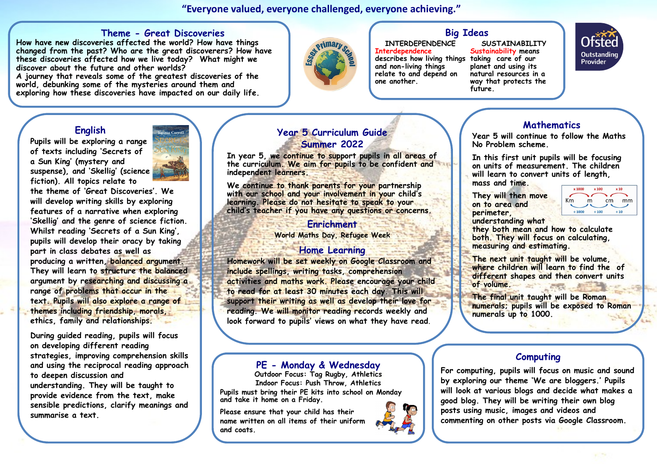**"Everyone valued, everyone challenged, everyone achieving."** 

#### **Theme - Great Discoveries**

**How have new discoveries affected the world? How have things changed from the past? Who are the great discoverers? How have these discoveries affected how we live today? What might we discover about the future and other worlds?**

**A journey that reveals some of the greatest discoveries of the world, debunking some of the mysteries around them and exploring how these discoveries have impacted on our daily life.**



# **Big Ideas**

**INTERDEPENDENCE Interdependence** 

**describes how living things taking care of our and non-living things relate to and depend on one another.** 

#### **SUSTAINABILITY Sustainability means planet and using its natural resources in a way that protects the future.**



## **English**

**Pupils will be exploring a range of texts including 'Secrets of a Sun King' (mystery and suspense), and 'Skellig' (science fiction). All topics relate to** 

**the theme of 'Great Discoveries'. We will develop writing skills by exploring features of a narrative when exploring 'Skellig' and the genre of science fiction. Whilst reading 'Secrets of a Sun King', pupils will develop their oracy by taking part in class debates as well as producing a written, balanced argument. They will learn to structure the balanced argument by researching and discussing a range of problems that occur in the text. Pupils will also explore a range of themes including friendship, morals, ethics, family and relationships.** 

**During guided reading, pupils will focus on developing different reading strategies, improving comprehension skills and using the reciprocal reading approach to deepen discussion and understanding. They will be taught to provide evidence from the text, make sensible predictions, clarify meanings and summarise a text.** 



## **Year 5 Curriculum Guide Summer 2022**

**In year 5, we continue to support pupils in all areas of the curriculum. We aim for pupils to be confident and independent learners.**

**We continue to thank parents for your partnership with our school and your involvement in your child's learning. Please do not hesitate to speak to your child's teacher if you have any questions or concerns.**

#### **Enrichment**

**World Maths Day, Refugee Week**

#### **Home Learning**

**Homework will be set weekly on Google Classroom and include spellings, writing tasks, comprehension activities and maths work. Please encourage your child to read for at least 30 minutes each day. This will support their writing as well as develop their love for reading. We will monitor reading records weekly and look forward to pupils' views on what they have read**.

#### **PE - Monday & Wednesday**

**Outdoor Focus: Tag Rugby, Athletics Indoor Focus: Push Throw, Athletics Pupils must bring their PE kits into school on Monday and take it home on a Friday.**

**Please ensure that your child has their name written on all items of their uniform and coats.**

## **Mathematics**

**Year 5 will continue to follow the Maths No Problem scheme.** 

**In this first unit pupils will be focusing on units of measurement. The children will learn to convert units of length, mass and time.** 

**They will then move on to area and perimeter, understanding what** 



**they both mean and how to calculate both. They will focus on calculating, measuring and estimating.** 

**The next unit taught will be volume, where children will learn to find the of different shapes and then convert units of volume.**

**The final unit taught will be Roman numerals; pupils will be exposed to Roman numerals up to 1000.** 

## **Computing**

**For computing, pupils will focus on music and sound by exploring our theme 'We are bloggers.' Pupils will look at various blogs and decide what makes a good blog. They will be writing their own blog posts using music, images and videos and commenting on other posts via Google Classroom.**